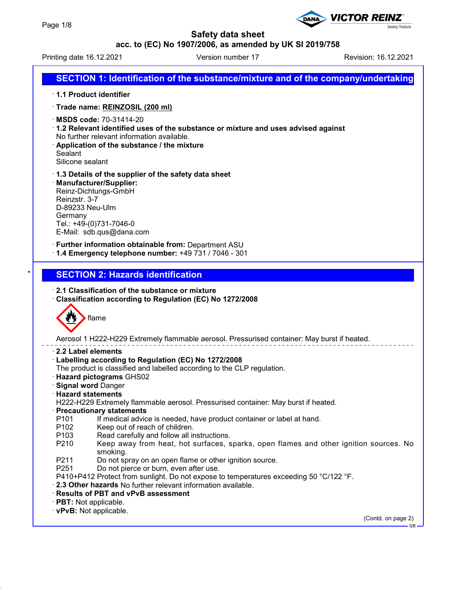### **acc. to (EC) No 1907/2006, as amended by UK SI 2019/758**

Printing date 16.12.2021 **Version number 17** Revision: 16.12.2021

**Sealing Products** 

**VICTOR REINZ** 

# **SECTION 1: Identification of the substance/mixture and of the company/undertaking**

- · **1.1 Product identifier**
- · **Trade name: REINZOSIL (200 ml)**
- · **MSDS code:** 70-31414-20
- · **1.2 Relevant identified uses of the substance or mixture and uses advised against** No further relevant information available.
- · **Application of the substance / the mixture** Sealant Silicone sealant
- · **1.3 Details of the supplier of the safety data sheet**
- · **Manufacturer/Supplier:** Reinz-Dichtungs-GmbH Reinzstr. 3-7 D-89233 Neu-Ulm Germany Tel.: +49-(0)731-7046-0 E-Mail: sdb.qus@dana.com
- · **Further information obtainable from:** Department ASU
- · **1.4 Emergency telephone number:** +49 731 / 7046 301

## **SECTION 2: Hazards identification**

- · **2.1 Classification of the substance or mixture**
- · **Classification according to Regulation (EC) No 1272/2008**



Aerosol 1 H222-H229 Extremely flammable aerosol. Pressurised container: May burst if heated.

- · **2.2 Label elements**
- · **Labelling according to Regulation (EC) No 1272/2008**
- The product is classified and labelled according to the CLP regulation.
- · **Hazard pictograms** GHS02
- · **Signal word** Danger
- · **Hazard statements**
- H222-H229 Extremely flammable aerosol. Pressurised container: May burst if heated.
- · **Precautionary statements**
- P101 If medical advice is needed, have product container or label at hand.
- P102 Keep out of reach of children.<br>P103 Read carefully and follow all in
- Read carefully and follow all instructions.
- P210 Keep away from heat, hot surfaces, sparks, open flames and other ignition sources. No smoking.
- P211 Do not spray on an open flame or other ignition source.
- P251 Do not pierce or burn, even after use.
- P410+P412 Protect from sunlight. Do not expose to temperatures exceeding 50 °C/122 °F.
- · **2.3 Other hazards** No further relevant information available.
- · **Results of PBT and vPvB assessment**
- · **PBT:** Not applicable.
- · **vPvB:** Not applicable.

(Contd. on page 2)

GB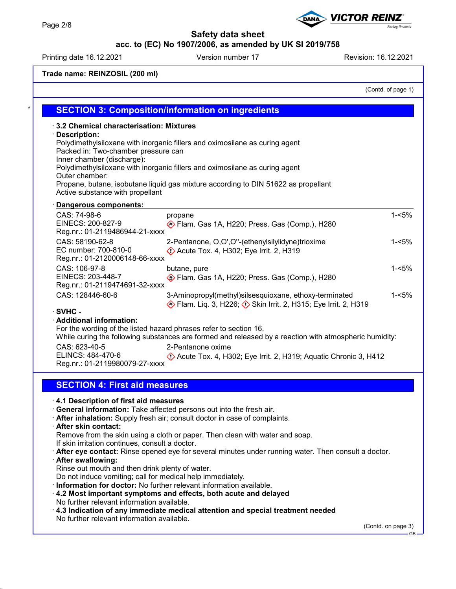# **acc. to (EC) No 1907/2006, as amended by UK SI 2019/758**

Printing date 16.12.2021 Version number 17 Revision: 16.12.2021

**Trade name: REINZOSIL (200 ml)**

(Contd. of page 1)

| 3.2 Chemical characterisation: Mixtures                                              |                                                                                                                             |          |
|--------------------------------------------------------------------------------------|-----------------------------------------------------------------------------------------------------------------------------|----------|
| <b>Description:</b>                                                                  | Polydimethylsiloxane with inorganic fillers and oximosilane as curing agent                                                 |          |
| Packed in: Two-chamber pressure can                                                  |                                                                                                                             |          |
| Inner chamber (discharge):                                                           |                                                                                                                             |          |
|                                                                                      | Polydimethylsiloxane with inorganic fillers and oximosilane as curing agent                                                 |          |
| Outer chamber:                                                                       |                                                                                                                             |          |
| Active substance with propellant                                                     | Propane, butane, isobutane liquid gas mixture according to DIN 51622 as propellant                                          |          |
|                                                                                      |                                                                                                                             |          |
| Dangerous components:<br>CAS: 74-98-6                                                |                                                                                                                             | $1 - 5%$ |
| EINECS: 200-827-9                                                                    | propane                                                                                                                     |          |
| Reg.nr.: 01-2119486944-21-xxxx                                                       | Flam. Gas 1A, H220; Press. Gas (Comp.), H280                                                                                |          |
| CAS: 58190-62-8                                                                      | 2-Pentanone, O,O',O"-(ethenylsilylidyne)trioxime                                                                            | $1 - 5%$ |
| EC number: 700-810-0                                                                 | $\Diamond$ Acute Tox. 4, H302; Eye Irrit. 2, H319                                                                           |          |
| Reg.nr.: 01-2120006148-66-xxxx                                                       |                                                                                                                             |          |
| CAS: 106-97-8                                                                        | butane, pure                                                                                                                | $1 - 5%$ |
| EINECS: 203-448-7                                                                    | Flam. Gas 1A, H220; Press. Gas (Comp.), H280                                                                                |          |
| Reg.nr.: 01-2119474691-32-xxxx                                                       |                                                                                                                             |          |
| CAS: 128446-60-6                                                                     | 3-Aminopropyl(methyl)silsesquioxane, ethoxy-terminated                                                                      | $1 - 5%$ |
|                                                                                      |                                                                                                                             |          |
|                                                                                      | Flam. Liq. 3, H226; $\Diamond$ Skin Irrit. 2, H315; Eye Irrit. 2, H319                                                      |          |
|                                                                                      |                                                                                                                             |          |
|                                                                                      |                                                                                                                             |          |
|                                                                                      | For the wording of the listed hazard phrases refer to section 16.                                                           |          |
| CAS: 623-40-5                                                                        | While curing the following substances are formed and released by a reaction with atmospheric humidity:<br>2-Pentanone oxime |          |
| ELINCS: 484-470-6                                                                    |                                                                                                                             |          |
| Reg.nr.: 01-2119980079-27-xxxx                                                       | Acute Tox. 4, H302; Eye Irrit. 2, H319; Aquatic Chronic 3, H412                                                             |          |
|                                                                                      |                                                                                                                             |          |
| <b>SECTION 4: First aid measures</b>                                                 |                                                                                                                             |          |
|                                                                                      |                                                                                                                             |          |
| $\cdot$ SVHC -<br>· Additional information:<br>4.1 Description of first aid measures |                                                                                                                             |          |
|                                                                                      | General information: Take affected persons out into the fresh air.                                                          |          |
| <b>After skin contact:</b>                                                           | After inhalation: Supply fresh air; consult doctor in case of complaints.                                                   |          |
|                                                                                      | Remove from the skin using a cloth or paper. Then clean with water and soap.                                                |          |
| If skin irritation continues, consult a doctor.                                      |                                                                                                                             |          |
|                                                                                      | . After eye contact: Rinse opened eye for several minutes under running water. Then consult a doctor.                       |          |
| · After swallowing:                                                                  |                                                                                                                             |          |
| Rinse out mouth and then drink plenty of water.                                      |                                                                                                                             |          |
|                                                                                      | Do not induce vomiting; call for medical help immediately.                                                                  |          |
|                                                                                      | Information for doctor: No further relevant information available.                                                          |          |
|                                                                                      | 4.2 Most important symptoms and effects, both acute and delayed                                                             |          |
| No further relevant information available.                                           |                                                                                                                             |          |
| No further relevant information available.                                           | $\cdot$ 4.3 Indication of any immediate medical attention and special treatment needed                                      |          |

**DANA**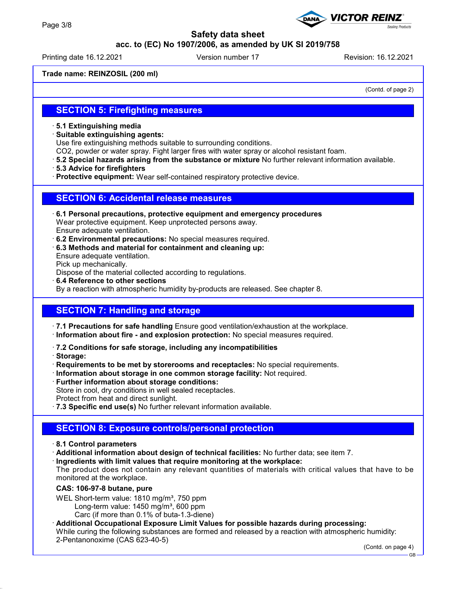## **acc. to (EC) No 1907/2006, as amended by UK SI 2019/758**

Printing date 16.12.2021 **Version number 17** Revision: 16.12.2021

**VICTOR REINZ** 

**Trade name: REINZOSIL (200 ml)**

(Contd. of page 2)

**Sealing Products** 

## **SECTION 5: Firefighting measures**

### · **5.1 Extinguishing media**

· **Suitable extinguishing agents:**

Use fire extinguishing methods suitable to surrounding conditions.

- CO2, powder or water spray. Fight larger fires with water spray or alcohol resistant foam.
- · **5.2 Special hazards arising from the substance or mixture** No further relevant information available.
- · **5.3 Advice for firefighters**
- · **Protective equipment:** Wear self-contained respiratory protective device.

### **SECTION 6: Accidental release measures**

- · **6.1 Personal precautions, protective equipment and emergency procedures** Wear protective equipment. Keep unprotected persons away. Ensure adequate ventilation.
- · **6.2 Environmental precautions:** No special measures required.
- · **6.3 Methods and material for containment and cleaning up:** Ensure adequate ventilation. Pick up mechanically.

Dispose of the material collected according to regulations.

· **6.4 Reference to other sections**

By a reaction with atmospheric humidity by-products are released. See chapter 8.

### **SECTION 7: Handling and storage**

- · **7.1 Precautions for safe handling** Ensure good ventilation/exhaustion at the workplace.
- · **Information about fire and explosion protection:** No special measures required.
- · **7.2 Conditions for safe storage, including any incompatibilities**
- · **Storage:**
- · **Requirements to be met by storerooms and receptacles:** No special requirements.
- · **Information about storage in one common storage facility:** Not required.
- · **Further information about storage conditions:**
- Store in cool, dry conditions in well sealed receptacles.
- Protect from heat and direct sunlight.
- · **7.3 Specific end use(s)** No further relevant information available.

### **SECTION 8: Exposure controls/personal protection**

#### · **8.1 Control parameters**

- · **Additional information about design of technical facilities:** No further data; see item 7.
- · **Ingredients with limit values that require monitoring at the workplace:**

The product does not contain any relevant quantities of materials with critical values that have to be monitored at the workplace.

### **CAS: 106-97-8 butane, pure**

WEL Short-term value: 1810 mg/m<sup>3</sup>, 750 ppm

- Long-term value:  $1450$  mg/m<sup>3</sup>, 600 ppm
	- Carc (if more than 0.1% of buta-1.3-diene)

### · **Additional Occupational Exposure Limit Values for possible hazards during processing:**

While curing the following substances are formed and released by a reaction with atmospheric humidity: 2-Pentanonoxime (CAS 623-40-5)

(Contd. on page 4)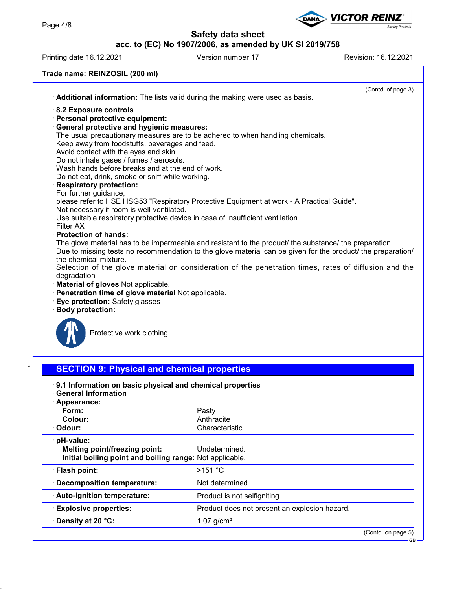# **acc. to (EC) No 1907/2006, as amended by UK SI 2019/758**

Printing date 16.12.2021 Version number 17 Revision: 16.12.2021

Sealing Products

**VICTOR REINZ®** 

DANA

| Trade name: REINZOSIL (200 ml)                                                                              |                              |                    |
|-------------------------------------------------------------------------------------------------------------|------------------------------|--------------------|
|                                                                                                             |                              | (Contd. of page 3) |
| Additional information: The lists valid during the making were used as basis.                               |                              |                    |
| 8.2 Exposure controls                                                                                       |                              |                    |
| · Personal protective equipment:                                                                            |                              |                    |
| General protective and hygienic measures:                                                                   |                              |                    |
| The usual precautionary measures are to be adhered to when handling chemicals.                              |                              |                    |
| Keep away from foodstuffs, beverages and feed.                                                              |                              |                    |
| Avoid contact with the eyes and skin.<br>Do not inhale gases / fumes / aerosols.                            |                              |                    |
| Wash hands before breaks and at the end of work.                                                            |                              |                    |
| Do not eat, drink, smoke or sniff while working.                                                            |                              |                    |
| <b>Respiratory protection:</b>                                                                              |                              |                    |
| For further guidance,                                                                                       |                              |                    |
| please refer to HSE HSG53 "Respiratory Protective Equipment at work - A Practical Guide".                   |                              |                    |
| Not necessary if room is well-ventilated.                                                                   |                              |                    |
| Use suitable respiratory protective device in case of insufficient ventilation.<br>Filter AX                |                              |                    |
| · Protection of hands:                                                                                      |                              |                    |
| The glove material has to be impermeable and resistant to the product/ the substance/ the preparation.      |                              |                    |
| Due to missing tests no recommendation to the glove material can be given for the product/ the preparation/ |                              |                    |
| the chemical mixture.                                                                                       |                              |                    |
| Selection of the glove material on consideration of the penetration times, rates of diffusion and the       |                              |                    |
| degradation                                                                                                 |                              |                    |
| · Material of gloves Not applicable.<br>· Penetration time of glove material Not applicable.                |                              |                    |
| Eye protection: Safety glasses                                                                              |                              |                    |
| · Body protection:                                                                                          |                              |                    |
|                                                                                                             |                              |                    |
|                                                                                                             |                              |                    |
| Protective work clothing                                                                                    |                              |                    |
|                                                                                                             |                              |                    |
|                                                                                                             |                              |                    |
| <b>SECTION 9: Physical and chemical properties</b>                                                          |                              |                    |
|                                                                                                             |                              |                    |
| 9.1 Information on basic physical and chemical properties                                                   |                              |                    |
| <b>General Information</b>                                                                                  |                              |                    |
| · Appearance:                                                                                               |                              |                    |
| Form:                                                                                                       | Pasty                        |                    |
| <b>Colour:</b><br>Odour:                                                                                    | Anthracite<br>Characteristic |                    |
|                                                                                                             |                              |                    |
| · pH-value:                                                                                                 |                              |                    |
| Melting point/freezing point:                                                                               | Undetermined.                |                    |
| Initial boiling point and boiling range: Not applicable.                                                    |                              |                    |
| · Flash point:                                                                                              | >151 °C                      |                    |
|                                                                                                             |                              |                    |

· **Decomposition temperature:** Not determined.

**Density at 20 °C:** 1.07 g/cm<sup>3</sup>

· **Auto-ignition temperature:** Product is not selfigniting.

· **Explosive properties:** Product does not present an explosion hazard.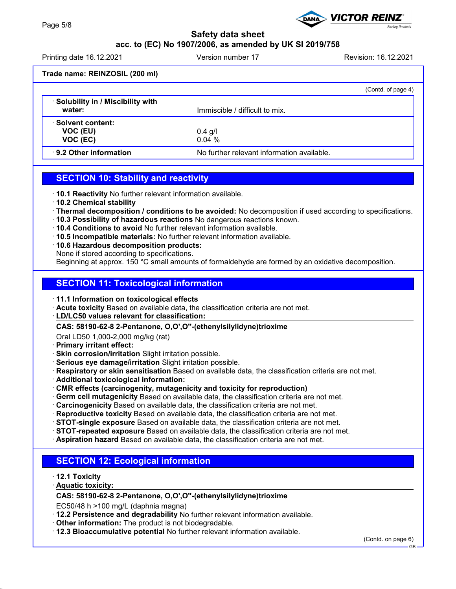# **acc. to (EC) No 1907/2006, as amended by UK SI 2019/758**

Printing date 16.12.2021 **Version number 17** Revision: 16.12.2021

**Sealing Products** 

**VICTOR REINZ** 

|                                                   | (Contd. of page 4)                         |
|---------------------------------------------------|--------------------------------------------|
| <b>Solubility in / Miscibility with</b><br>water: | Immiscible / difficult to mix.             |
| <b>Solvent content:</b><br>VOC (EU)<br>VOC (EC)   | $0.4$ g/l<br>0.04%                         |
| 9.2 Other information                             | No further relevant information available. |

# **SECTION 10: Stability and reactivity**

- · **10.1 Reactivity** No further relevant information available.
- · **10.2 Chemical stability**
- · **Thermal decomposition / conditions to be avoided:** No decomposition if used according to specifications.
- · **10.3 Possibility of hazardous reactions** No dangerous reactions known.
- · **10.4 Conditions to avoid** No further relevant information available.
- · **10.5 Incompatible materials:** No further relevant information available.
- · **10.6 Hazardous decomposition products:**
- None if stored according to specifications.

Beginning at approx. 150 °C small amounts of formaldehyde are formed by an oxidative decomposition.

# **SECTION 11: Toxicological information**

- · **11.1 Information on toxicological effects**
- · **Acute toxicity** Based on available data, the classification criteria are not met.
- **LD/LC50 values relevant for classification:** ·
- **CAS: 58190-62-8 2-Pentanone, O,O',O''-(ethenylsilylidyne)trioxime**
- Oral LD50 1,000-2,000 mg/kg (rat)
- · **Primary irritant effect:**
- · **Skin corrosion/irritation** Slight irritation possible.
- · **Serious eye damage/irritation** Slight irritation possible.
- · **Respiratory or skin sensitisation** Based on available data, the classification criteria are not met.
- · **Additional toxicological information:**
- · **CMR effects (carcinogenity, mutagenicity and toxicity for reproduction)**
- · **Germ cell mutagenicity** Based on available data, the classification criteria are not met.
- · **Carcinogenicity** Based on available data, the classification criteria are not met.
- · **Reproductive toxicity** Based on available data, the classification criteria are not met.
- · **STOT-single exposure** Based on available data, the classification criteria are not met.
- · **STOT-repeated exposure** Based on available data, the classification criteria are not met.
- · **Aspiration hazard** Based on available data, the classification criteria are not met.

# **SECTION 12: Ecological information**

- · **12.1 Toxicity**
- **Aquatic toxicity:** ·

# **CAS: 58190-62-8 2-Pentanone, O,O',O''-(ethenylsilylidyne)trioxime**

EC50/48 h >100 mg/L (daphnia magna)

- · **12.2 Persistence and degradability** No further relevant information available.
- · **Other information:** The product is not biodegradable.
- · **12.3 Bioaccumulative potential** No further relevant information available.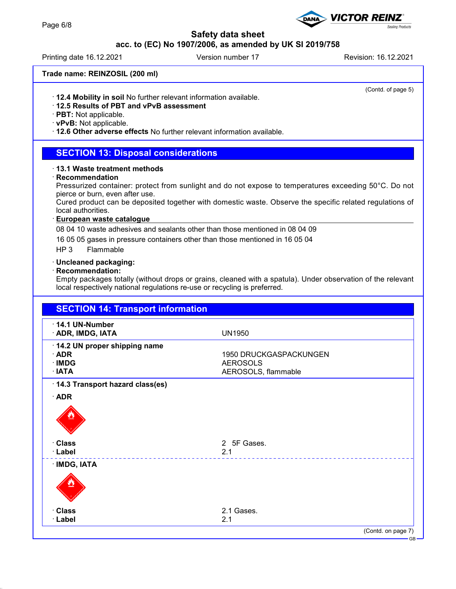# **acc. to (EC) No 1907/2006, as amended by UK SI 2019/758**

Printing date 16.12.2021 **Version number 17** Nevision: 16.12.2021

**VICTOR REINZ®** 

### **Trade name: REINZOSIL (200 ml)**

(Contd. of page 5)

**Sealing Products** 

· **12.4 Mobility in soil** No further relevant information available.

# · **12.5 Results of PBT and vPvB assessment**

· **PBT:** Not applicable.

# · **vPvB:** Not applicable.

· **12.6 Other adverse effects** No further relevant information available.

## **SECTION 13: Disposal considerations**

#### · **13.1 Waste treatment methods**

#### · **Recommendation**

Pressurized container: protect from sunlight and do not expose to temperatures exceeding 50°C. Do not pierce or burn, even after use.

Cured product can be deposited together with domestic waste. Observe the specific related regulations of local authorities.

#### **European waste catalogue** ·

08 04 10 waste adhesives and sealants other than those mentioned in 08 04 09

16 05 05 gases in pressure containers other than those mentioned in 16 05 04

HP 3 Flammable

#### · **Uncleaned packaging:**

#### · **Recommendation:**

Empty packages totally (without drops or grains, cleaned with a spatula). Under observation of the relevant local respectively national regulations re-use or recycling is preferred.

| <b>SECTION 14: Transport information</b>                                    |                                                                  |
|-----------------------------------------------------------------------------|------------------------------------------------------------------|
| 14.1 UN-Number<br>· ADR, IMDG, IATA                                         | <b>UN1950</b>                                                    |
| 14.2 UN proper shipping name<br>$\cdot$ ADR<br>$\cdot$ IMDG<br>$\cdot$ IATA | 1950 DRUCKGASPACKUNGEN<br><b>AEROSOLS</b><br>AEROSOLS, flammable |
| 14.3 Transport hazard class(es)                                             |                                                                  |
| $\cdot$ ADR                                                                 |                                                                  |
| · Class                                                                     | 2 5F Gases.                                                      |
| · Label                                                                     | 2.1                                                              |
| · IMDG, IATA                                                                |                                                                  |
| · Class                                                                     | 2.1 Gases.                                                       |
| · Label                                                                     | 2.1                                                              |
|                                                                             | (Contd. on page 7)                                               |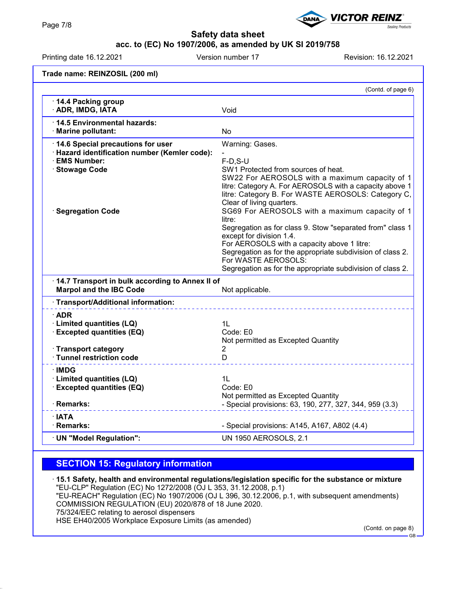# **acc. to (EC) No 1907/2006, as amended by UK SI 2019/758**

Printing date 16.12.2021 **Version number 17** Revision: 16.12.2021

**VICTOR REINZ** 

**Trade name: REINZOSIL (200 ml)** (Contd. of page 6) · **14.4 Packing group** · **ADR, IMDG, IATA** Void · **14.5 Environmental hazards:** · **Marine pollutant:** No **14.6 Special precautions for user** Warning: Gases. · **Hazard identification number (Kemler code):** - · **EMS Number:** F-D,S-U **Stowage Code** SW1 Protected from sources of heat. SW22 For AEROSOLS with a maximum capacity of 1 litre: Category A. For AEROSOLS with a capacity above 1 litre: Category B. For WASTE AEROSOLS: Category C, Clear of living quarters. · **Segregation Code** SG69 For AEROSOLS with a maximum capacity of 1 litre: Segregation as for class 9. Stow "separated from" class 1 except for division 1.4. For AEROSOLS with a capacity above 1 litre: Segregation as for the appropriate subdivision of class 2. For WASTE AEROSOLS: Segregation as for the appropriate subdivision of class 2. · **14.7 Transport in bulk according to Annex II of Marpol and the IBC Code** Not applicable. · **Transport/Additional information:** · **ADR** · **Limited quantities (LQ)** 1L **Excepted quantities (EQ)** Not permitted as Excepted Quantity · **Transport category** 2 · **Tunnel restriction code** D · **IMDG** · **Limited quantities (LQ)** 1L · **Excepted quantities (EQ)** Code: E0 Not permitted as Excepted Quantity · **Remarks:**  $\blacksquare$  **Remarks:**  $\blacksquare$  Special provisions: 63, 190, 277, 327, 344, 959 (3.3) · **IATA** · **Remarks: Constant Constant Constant Constant Constant Constant Constant Constant Constant Constant Constant Constant Constant Constant Constant Constant Constant Constant Constant Constant Constant Constant Constant C** · **UN "Model Regulation":** UN 1950 AEROSOLS, 2.1

# **SECTION 15: Regulatory information**

· **15.1 Safety, health and environmental regulations/legislation specific for the substance or mixture** "EU-CLP" Regulation (EC) No 1272/2008 (OJ L 353, 31.12.2008, p.1) "EU-REACH" Regulation (EC) No 1907/2006 (OJ L 396, 30.12.2006, p.1, with subsequent amendments) COMMISSION REGULATION (EU) 2020/878 of 18 June 2020. 75/324/EEC relating to aerosol dispensers HSE EH40/2005 Workplace Exposure Limits (as amended)

(Contd. on page 8) GB